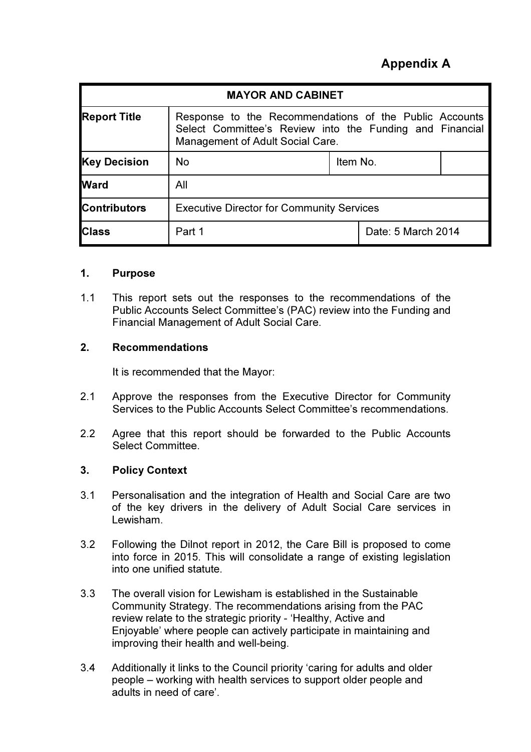# Appendix A

| <b>MAYOR AND CABINET</b> |                                                                                                                                                        |          |                    |  |
|--------------------------|--------------------------------------------------------------------------------------------------------------------------------------------------------|----------|--------------------|--|
| <b>Report Title</b>      | Response to the Recommendations of the Public Accounts<br>Select Committee's Review into the Funding and Financial<br>Management of Adult Social Care. |          |                    |  |
| <b>Key Decision</b>      | <b>No</b>                                                                                                                                              | Item No. |                    |  |
| <b>Ward</b>              | All                                                                                                                                                    |          |                    |  |
| <b>Contributors</b>      | <b>Executive Director for Community Services</b>                                                                                                       |          |                    |  |
| <b>Class</b>             | Part 1                                                                                                                                                 |          | Date: 5 March 2014 |  |

#### 1. Purpose

1.1 This report sets out the responses to the recommendations of the Public Accounts Select Committee's (PAC) review into the Funding and Financial Management of Adult Social Care.

#### 2. Recommendations

It is recommended that the Mayor:

- 2.1 Approve the responses from the Executive Director for Community Services to the Public Accounts Select Committee's recommendations.
- 2.2 Agree that this report should be forwarded to the Public Accounts Select Committee.

#### 3. Policy Context

- 3.1 Personalisation and the integration of Health and Social Care are two of the key drivers in the delivery of Adult Social Care services in Lewisham.
- 3.2 Following the Dilnot report in 2012, the Care Bill is proposed to come into force in 2015. This will consolidate a range of existing legislation into one unified statute.
- 3.3 The overall vision for Lewisham is established in the Sustainable Community Strategy. The recommendations arising from the PAC review relate to the strategic priority - 'Healthy, Active and Enjoyable' where people can actively participate in maintaining and improving their health and well-being.
- 3.4 Additionally it links to the Council priority 'caring for adults and older people – working with health services to support older people and adults in need of care'.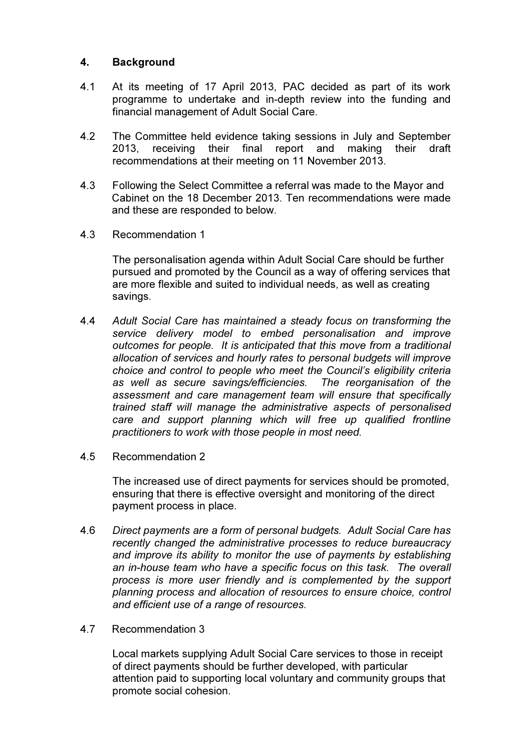#### 4. Background

- 4.1 At its meeting of 17 April 2013, PAC decided as part of its work programme to undertake and in-depth review into the funding and financial management of Adult Social Care.
- 4.2 The Committee held evidence taking sessions in July and September 2013, receiving their final report and making their draft recommendations at their meeting on 11 November 2013.
- 4.3 Following the Select Committee a referral was made to the Mayor and Cabinet on the 18 December 2013. Ten recommendations were made and these are responded to below.
- 4.3 Recommendation 1

The personalisation agenda within Adult Social Care should be further pursued and promoted by the Council as a way of offering services that are more flexible and suited to individual needs, as well as creating savings.

- 4.4 *Adult Social Care has maintained a steady focus on transforming the service delivery model to embed personalisation and improve outcomes for people. It is anticipated that this move from a traditional allocation of services and hourly rates to personal budgets will improve choice and control to people who meet the Council's eligibility criteria as well as secure savings/efficiencies. The reorganisation of the assessment and care management team will ensure that specifically trained staff will manage the administrative aspects of personalised care and support planning which will free up qualified frontline practitioners to work with those people in most need.*
- 4.5 Recommendation 2

The increased use of direct payments for services should be promoted, ensuring that there is effective oversight and monitoring of the direct payment process in place.

- 4.6 *Direct payments are a form of personal budgets. Adult Social Care has recently changed the administrative processes to reduce bureaucracy and improve its ability to monitor the use of payments by establishing an in-house team who have a specific focus on this task. The overall process is more user friendly and is complemented by the support planning process and allocation of resources to ensure choice, control and efficient use of a range of resources.*
- 4.7 Recommendation 3

Local markets supplying Adult Social Care services to those in receipt of direct payments should be further developed, with particular attention paid to supporting local voluntary and community groups that promote social cohesion.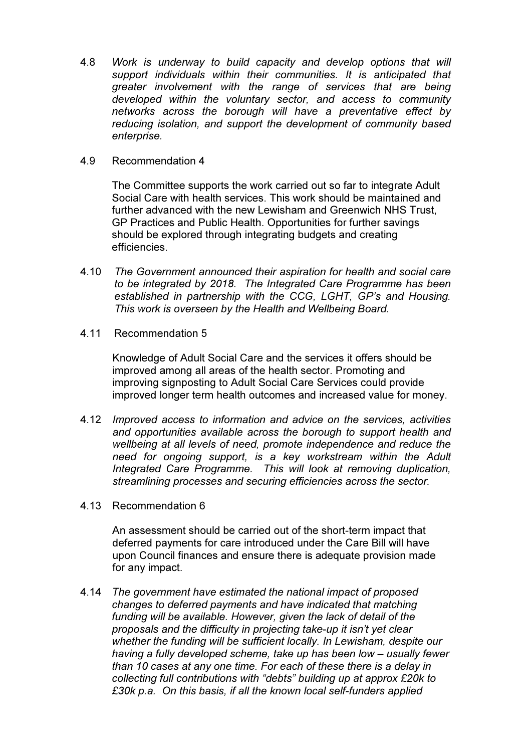- 4.8 *Work is underway to build capacity and develop options that will support individuals within their communities. It is anticipated that greater involvement with the range of services that are being developed within the voluntary sector, and access to community networks across the borough will have a preventative effect by reducing isolation, and support the development of community based enterprise.*
- 4.9 Recommendation 4

The Committee supports the work carried out so far to integrate Adult Social Care with health services. This work should be maintained and further advanced with the new Lewisham and Greenwich NHS Trust, GP Practices and Public Health. Opportunities for further savings should be explored through integrating budgets and creating efficiencies.

- 4.10 *The Government announced their aspiration for health and social care to be integrated by 2018. The Integrated Care Programme has been established in partnership with the CCG, LGHT, GP's and Housing. This work is overseen by the Health and Wellbeing Board.*
- 4.11 Recommendation 5

Knowledge of Adult Social Care and the services it offers should be improved among all areas of the health sector. Promoting and improving signposting to Adult Social Care Services could provide improved longer term health outcomes and increased value for money.

- 4.12 *Improved access to information and advice on the services, activities and opportunities available across the borough to support health and wellbeing at all levels of need, promote independence and reduce the need for ongoing support, is a key workstream within the Adult Integrated Care Programme. This will look at removing duplication, streamlining processes and securing efficiencies across the sector.*
- 4.13 Recommendation 6

An assessment should be carried out of the short-term impact that deferred payments for care introduced under the Care Bill will have upon Council finances and ensure there is adequate provision made for any impact.

4.14 *The government have estimated the national impact of proposed changes to deferred payments and have indicated that matching funding will be available. However, given the lack of detail of the proposals and the difficulty in projecting take-up it isn't yet clear whether the funding will be sufficient locally. In Lewisham, despite our having a fully developed scheme, take up has been low – usually fewer than 10 cases at any one time. For each of these there is a delay in collecting full contributions with "debts" building up at approx £20k to £30k p.a. On this basis, if all the known local self-funders applied*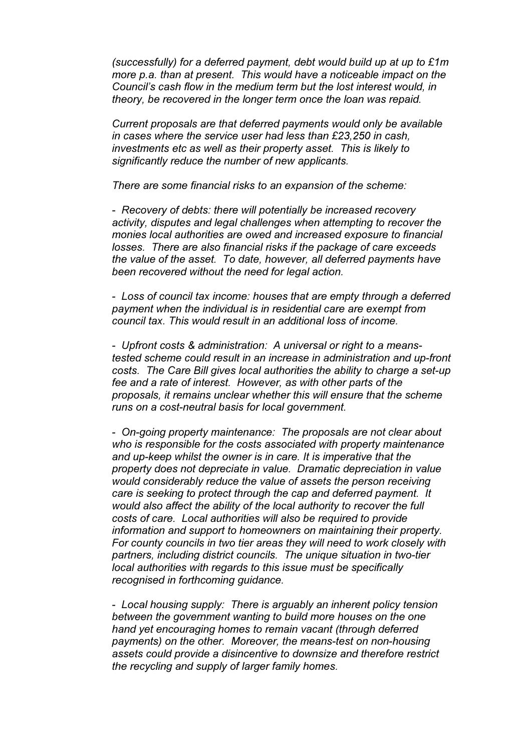*(successfully) for a deferred payment, debt would build up at up to £1m more p.a. than at present. This would have a noticeable impact on the Council's cash flow in the medium term but the lost interest would, in theory, be recovered in the longer term once the loan was repaid.* 

*Current proposals are that deferred payments would only be available in cases where the service user had less than £23,250 in cash, investments etc as well as their property asset. This is likely to significantly reduce the number of new applicants.* 

*There are some financial risks to an expansion of the scheme:* 

*- Recovery of debts: there will potentially be increased recovery activity, disputes and legal challenges when attempting to recover the monies local authorities are owed and increased exposure to financial losses. There are also financial risks if the package of care exceeds the value of the asset. To date, however, all deferred payments have been recovered without the need for legal action.* 

*- Loss of council tax income: houses that are empty through a deferred payment when the individual is in residential care are exempt from council tax. This would result in an additional loss of income.* 

*- Upfront costs & administration: A universal or right to a meanstested scheme could result in an increase in administration and up-front costs. The Care Bill gives local authorities the ability to charge a set-up fee and a rate of interest. However, as with other parts of the proposals, it remains unclear whether this will ensure that the scheme runs on a cost-neutral basis for local government.* 

*- On-going property maintenance: The proposals are not clear about who is responsible for the costs associated with property maintenance and up-keep whilst the owner is in care. It is imperative that the property does not depreciate in value. Dramatic depreciation in value would considerably reduce the value of assets the person receiving care is seeking to protect through the cap and deferred payment. It would also affect the ability of the local authority to recover the full costs of care. Local authorities will also be required to provide information and support to homeowners on maintaining their property. For county councils in two tier areas they will need to work closely with partners, including district councils. The unique situation in two-tier local authorities with regards to this issue must be specifically recognised in forthcoming guidance.* 

*- Local housing supply: There is arguably an inherent policy tension between the government wanting to build more houses on the one hand yet encouraging homes to remain vacant (through deferred payments) on the other. Moreover, the means-test on non-housing assets could provide a disincentive to downsize and therefore restrict the recycling and supply of larger family homes.*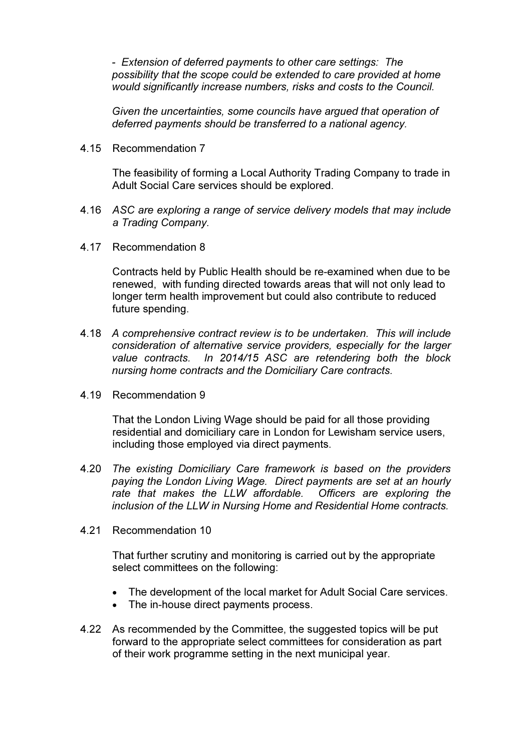*- Extension of deferred payments to other care settings: The possibility that the scope could be extended to care provided at home would significantly increase numbers, risks and costs to the Council.* 

*Given the uncertainties, some councils have argued that operation of deferred payments should be transferred to a national agency.* 

4.15 Recommendation 7

The feasibility of forming a Local Authority Trading Company to trade in Adult Social Care services should be explored.

- 4.16 *ASC are exploring a range of service delivery models that may include a Trading Company.*
- 4.17 Recommendation 8

Contracts held by Public Health should be re-examined when due to be renewed, with funding directed towards areas that will not only lead to longer term health improvement but could also contribute to reduced future spending.

- 4.18 *A comprehensive contract review is to be undertaken. This will include consideration of alternative service providers, especially for the larger value contracts. In 2014/15 ASC are retendering both the block nursing home contracts and the Domiciliary Care contracts.*
- 4.19 Recommendation 9

That the London Living Wage should be paid for all those providing residential and domiciliary care in London for Lewisham service users, including those employed via direct payments.

- 4.20 *The existing Domiciliary Care framework is based on the providers paying the London Living Wage. Direct payments are set at an hourly rate that makes the LLW affordable. Officers are exploring the inclusion of the LLW in Nursing Home and Residential Home contracts.*
- 4.21 Recommendation 10

That further scrutiny and monitoring is carried out by the appropriate select committees on the following:

- The development of the local market for Adult Social Care services.
- The in-house direct payments process.
- 4.22 As recommended by the Committee, the suggested topics will be put forward to the appropriate select committees for consideration as part of their work programme setting in the next municipal year.